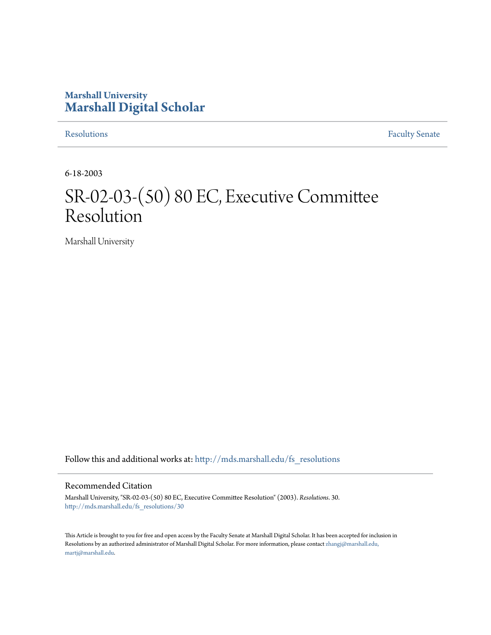## **Marshall University [Marshall Digital Scholar](http://mds.marshall.edu?utm_source=mds.marshall.edu%2Ffs_resolutions%2F30&utm_medium=PDF&utm_campaign=PDFCoverPages)**

[Resolutions](http://mds.marshall.edu/fs_resolutions?utm_source=mds.marshall.edu%2Ffs_resolutions%2F30&utm_medium=PDF&utm_campaign=PDFCoverPages) [Faculty Senate](http://mds.marshall.edu/fs?utm_source=mds.marshall.edu%2Ffs_resolutions%2F30&utm_medium=PDF&utm_campaign=PDFCoverPages)

6-18-2003

# SR-02-03-(50) 80 EC, Executive Committee Resolution

Marshall University

Follow this and additional works at: [http://mds.marshall.edu/fs\\_resolutions](http://mds.marshall.edu/fs_resolutions?utm_source=mds.marshall.edu%2Ffs_resolutions%2F30&utm_medium=PDF&utm_campaign=PDFCoverPages)

#### Recommended Citation

Marshall University, "SR-02-03-(50) 80 EC, Executive Committee Resolution" (2003). *Resolutions*. 30. [http://mds.marshall.edu/fs\\_resolutions/30](http://mds.marshall.edu/fs_resolutions/30?utm_source=mds.marshall.edu%2Ffs_resolutions%2F30&utm_medium=PDF&utm_campaign=PDFCoverPages)

This Article is brought to you for free and open access by the Faculty Senate at Marshall Digital Scholar. It has been accepted for inclusion in Resolutions by an authorized administrator of Marshall Digital Scholar. For more information, please contact [zhangj@marshall.edu,](mailto:zhangj@marshall.edu,%20martj@marshall.edu) [martj@marshall.edu](mailto:zhangj@marshall.edu,%20martj@marshall.edu).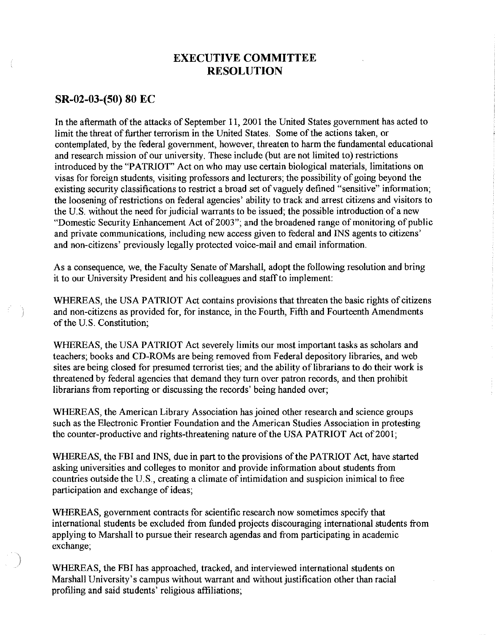## **EXECUTIVE COMMITTEE RESOLUTION**

#### **SR-02-03-(50) 80 EC**

In the aftermath of the attacks of September 11, 2001 the United States government has acted to limit the threat of further terrorism in the United States. Some of the actions taken, or contemplated, by the federal government, however, threaten to harm the fundamental educational and research mission of our university. These include (but are not limited to) restrictions introduced by the "PATRIOT" Act on who may use certain biological materials, limitations on visas for foreign students, visiting professors and lecturers; the possibility of going beyond the existing security classifications to restrict a broad set of vaguely defined "sensitive" information; the loosening of restrictions on federal agencies' ability to track and arrest citizens and visitors to the U.S. without the need for judicial warrants to be issued; the possible introduction of a new "Domestic Security Enhancement Act of 2003"; and the broadened range of monitoring of public and private communications, including new access given to federal and INS agents to citizens' and non-citizens' previously legally protected voice-mail and email information.

As a consequence, we, the Faculty Senate of Marshall, adopt the following resolution and bring it to our University President and his colleagues and staff to implement:

WHEREAS, the USA PATRIOT Act contains provisions that threaten the basic rights of citizens and non-citizens as provided for, for instance, in the Fourth, Fifth and Fourteenth Amendments of the U.S. Constitution;

WHEREAS, the USA PATRIOT Act severely limits our most important tasks as scholars and teachers; books and CD-ROMs are being removed from Federal depository libraries, and web sites are being closed for presumed terrorist ties; and the ability of librarians to do their work is threatened by federal agencies that demand they turn over patron records, and then prohibit librarians from reporting or discussing the records' being handed over;

WHEREAS, the American Library Association has joined other research and science groups such as the Electronic Frontier Foundation and the American Studies Association in protesting the counter-productive and rights-threatening nature of the USA PATRIOT Act of 2001;

WHEREAS, the FBI and INS, due in part to the provisions of the PATRIOT Act, have started asking universities and colleges to monitor and provide information about students from countries outside the U.S., creating a climate of intimidation and suspicion inimical to free participation and exchange of ideas;

WHEREAS, government contracts for scientific research now sometimes specify that international students be excluded from funded projects discouraging international students from applying to Marshall to pursue their research agendas and from participating in academic exchange;

WHEREAS, the FBI has approached, tracked, and interviewed international students on Marshall University's campus without warrant and without justification other than racial profiling and said students' religious affiliations;